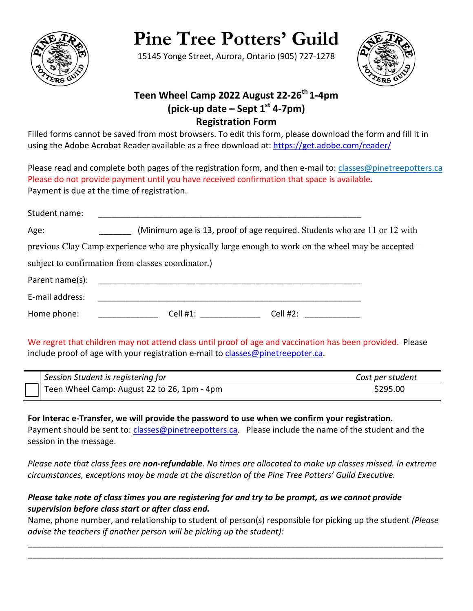

# **Pine Tree Potters' Guild**

15145 Yonge Street, Aurora, Ontario (905) 727-1278



# **Teen Wheel Camp 2022 August 22-26<sup>th</sup> 1-4pm (pick-up date – Sept 1st 4-7pm) Registration Form**

Filled forms cannot be saved from most browsers. To edit this form, please download the form and fill it in using the Adobe Acrobat Reader available as a free download at:<https://get.adobe.com/reader/>

Please read and complete both pages of the registration form, and then e-mail to: classes@pinetreepotters.ca Please do not provide payment until you have received confirmation that space is available. Payment is due at the time of registration.

| Student name:   |                                                                                                      |          |  |
|-----------------|------------------------------------------------------------------------------------------------------|----------|--|
| Age:            | (Minimum age is 13, proof of age required. Students who are 11 or 12 with                            |          |  |
|                 | previous Clay Camp experience who are physically large enough to work on the wheel may be accepted – |          |  |
|                 | subject to confirmation from classes coordinator.)                                                   |          |  |
| Parent name(s): |                                                                                                      |          |  |
| E-mail address: |                                                                                                      |          |  |
| Home phone:     | Cell $#1$ :                                                                                          | Cell #2: |  |

We regret that children may not attend class until proof of age and vaccination has been provided.Please include proof of age with your registration e-mail to [classes@pinetreepoter.ca.](mailto:classes@pinetreepoter.ca)

| Session Student is registering for          | Cost per student |
|---------------------------------------------|------------------|
| Teen Wheel Camp: August 22 to 26, 1pm - 4pm | \$295.00         |

**For Interac e-Transfer, we will provide the password to use when we confirm your registration.**  Payment should be sent to: [classes@pinetreepotters.ca.](mailto:classes@pinetreepotters.ca) Please include the name of the student and the session in the message.

*Please note that class fees are non-refundable. No times are allocated to make up classes missed. In extreme circumstances, exceptions may be made at the discretion of the Pine Tree Potters' Guild Executive.*

### *Please take note of class times you are registering for and try to be prompt, as we cannot provide supervision before class start or after class end.*

Name, phone number, and relationship to student of person(s) responsible for picking up the student *(Please advise the teachers if another person will be picking up the student):*

\_\_\_\_\_\_\_\_\_\_\_\_\_\_\_\_\_\_\_\_\_\_\_\_\_\_\_\_\_\_\_\_\_\_\_\_\_\_\_\_\_\_\_\_\_\_\_\_\_\_\_\_\_\_\_\_\_\_\_\_\_\_\_\_\_\_\_\_\_\_\_\_\_\_\_\_\_\_\_\_\_\_\_\_\_\_\_\_\_\_ \_\_\_\_\_\_\_\_\_\_\_\_\_\_\_\_\_\_\_\_\_\_\_\_\_\_\_\_\_\_\_\_\_\_\_\_\_\_\_\_\_\_\_\_\_\_\_\_\_\_\_\_\_\_\_\_\_\_\_\_\_\_\_\_\_\_\_\_\_\_\_\_\_\_\_\_\_\_\_\_\_\_\_\_\_\_\_\_\_\_